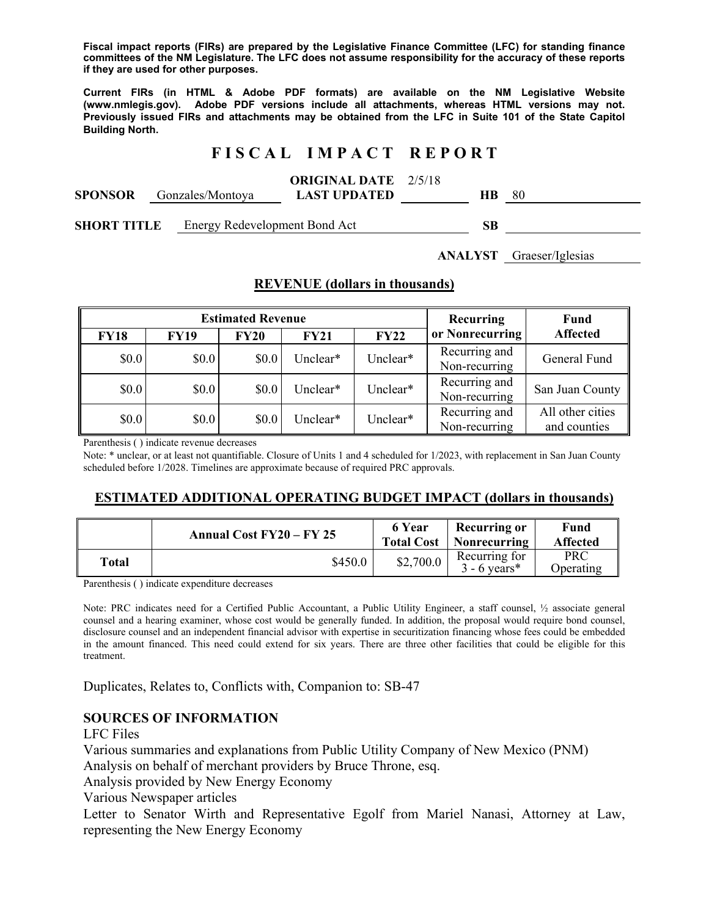**Fiscal impact reports (FIRs) are prepared by the Legislative Finance Committee (LFC) for standing finance committees of the NM Legislature. The LFC does not assume responsibility for the accuracy of these reports if they are used for other purposes.** 

**Current FIRs (in HTML & Adobe PDF formats) are available on the NM Legislative Website (www.nmlegis.gov). Adobe PDF versions include all attachments, whereas HTML versions may not. Previously issued FIRs and attachments may be obtained from the LFC in Suite 101 of the State Capitol Building North.**

# **F I S C A L I M P A C T R E P O R T**

#### **ORIGINAL DATE**  2/5/18

| <b>SPONSOR</b>                                           | Gonzales/Montova                                                                                                       | <b>LAST UPDATED</b> | 80 |
|----------------------------------------------------------|------------------------------------------------------------------------------------------------------------------------|---------------------|----|
|                                                          |                                                                                                                        |                     |    |
| $\alpha$ on $\alpha$ $\alpha$ $\alpha$ $\alpha$ $\alpha$ | $\mathbf{D}$ and $\mathbf{D}$ and $\mathbf{D}$ and $\mathbf{D}$ and $\mathbf{D}$ and $\mathbf{D}$ and $\mathbf{A}$ and |                     |    |

**SHORT TITLE** Energy Redevelopment Bond Act **SB** 

**ANALYST** Graeser/Iglesias

# **REVENUE (dollars in thousands)**

| <b>Estimated Revenue</b> |             |       |             | Recurring   | Fund                           |                                  |
|--------------------------|-------------|-------|-------------|-------------|--------------------------------|----------------------------------|
| <b>FY18</b>              | <b>FY19</b> | FY20  | <b>FY21</b> | <b>FY22</b> | or Nonrecurring                | <b>Affected</b>                  |
| \$0.0                    | \$0.0       | \$0.0 | Unclear*    | Unclear*    | Recurring and<br>Non-recurring | General Fund                     |
| \$0.0                    | \$0.0       | \$0.0 | Unclear*    | Unclear*    | Recurring and<br>Non-recurring | San Juan County                  |
| \$0.0                    | \$0.0       | \$0.0 | Unclear*    | Unclear*    | Recurring and<br>Non-recurring | All other cities<br>and counties |

Parenthesis ( ) indicate revenue decreases

Note: \* unclear, or at least not quantifiable. Closure of Units 1 and 4 scheduled for 1/2023, with replacement in San Juan County scheduled before 1/2028. Timelines are approximate because of required PRC approvals.

# **ESTIMATED ADDITIONAL OPERATING BUDGET IMPACT (dollars in thousands)**

|       | <b>Annual Cost FY20 – FY 25</b> | 6 Year<br><b>Total Cost</b> | <b>Recurring or</b><br>$\therefore$ Nonrecurring | <b>Fund</b><br><b>Affected</b> |
|-------|---------------------------------|-----------------------------|--------------------------------------------------|--------------------------------|
| Total | \$450.0                         | \$2,700.0                   | Recurring for<br>$3 - 6$ years*                  | <b>PRC</b><br>Operating        |

Parenthesis ( ) indicate expenditure decreases

Note: PRC indicates need for a Certified Public Accountant, a Public Utility Engineer, a staff counsel, ½ associate general counsel and a hearing examiner, whose cost would be generally funded. In addition, the proposal would require bond counsel, disclosure counsel and an independent financial advisor with expertise in securitization financing whose fees could be embedded in the amount financed. This need could extend for six years. There are three other facilities that could be eligible for this treatment.

Duplicates, Relates to, Conflicts with, Companion to: SB-47

### **SOURCES OF INFORMATION**

LFC Files

Various summaries and explanations from Public Utility Company of New Mexico (PNM) Analysis on behalf of merchant providers by Bruce Throne, esq.

Analysis provided by New Energy Economy

Various Newspaper articles

Letter to Senator Wirth and Representative Egolf from Mariel Nanasi, Attorney at Law, representing the New Energy Economy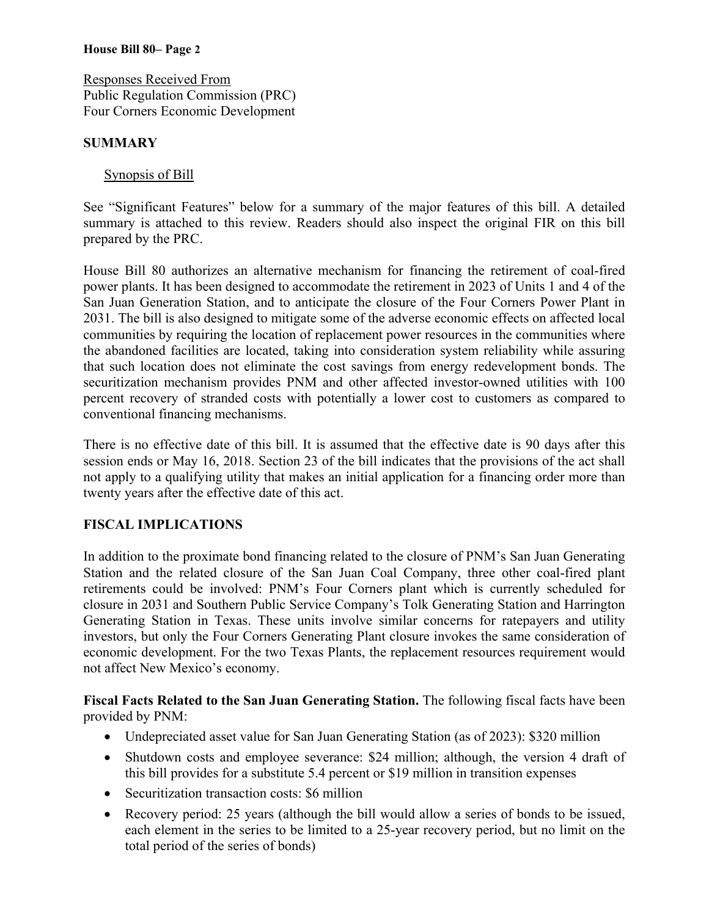Responses Received From Public Regulation Commission (PRC) Four Corners Economic Development

## **SUMMARY**

## Synopsis of Bill

See "Significant Features" below for a summary of the major features of this bill. A detailed summary is attached to this review. Readers should also inspect the original FIR on this bill prepared by the PRC.

House Bill 80 authorizes an alternative mechanism for financing the retirement of coal-fired power plants. It has been designed to accommodate the retirement in 2023 of Units 1 and 4 of the San Juan Generation Station, and to anticipate the closure of the Four Corners Power Plant in 2031. The bill is also designed to mitigate some of the adverse economic effects on affected local communities by requiring the location of replacement power resources in the communities where the abandoned facilities are located, taking into consideration system reliability while assuring that such location does not eliminate the cost savings from energy redevelopment bonds. The securitization mechanism provides PNM and other affected investor-owned utilities with 100 percent recovery of stranded costs with potentially a lower cost to customers as compared to conventional financing mechanisms.

There is no effective date of this bill. It is assumed that the effective date is 90 days after this session ends or May 16, 2018. Section 23 of the bill indicates that the provisions of the act shall not apply to a qualifying utility that makes an initial application for a financing order more than twenty years after the effective date of this act.

# **FISCAL IMPLICATIONS**

In addition to the proximate bond financing related to the closure of PNM's San Juan Generating Station and the related closure of the San Juan Coal Company, three other coal-fired plant retirements could be involved: PNM's Four Corners plant which is currently scheduled for closure in 2031 and Southern Public Service Company's Tolk Generating Station and Harrington Generating Station in Texas. These units involve similar concerns for ratepayers and utility investors, but only the Four Corners Generating Plant closure invokes the same consideration of economic development. For the two Texas Plants, the replacement resources requirement would not affect New Mexico's economy.

**Fiscal Facts Related to the San Juan Generating Station.** The following fiscal facts have been provided by PNM:

- Undepreciated asset value for San Juan Generating Station (as of 2023): \$320 million
- Shutdown costs and employee severance: \$24 million; although, the version 4 draft of this bill provides for a substitute 5.4 percent or \$19 million in transition expenses
- Securitization transaction costs: \$6 million
- Recovery period: 25 years (although the bill would allow a series of bonds to be issued, each element in the series to be limited to a 25-year recovery period, but no limit on the total period of the series of bonds)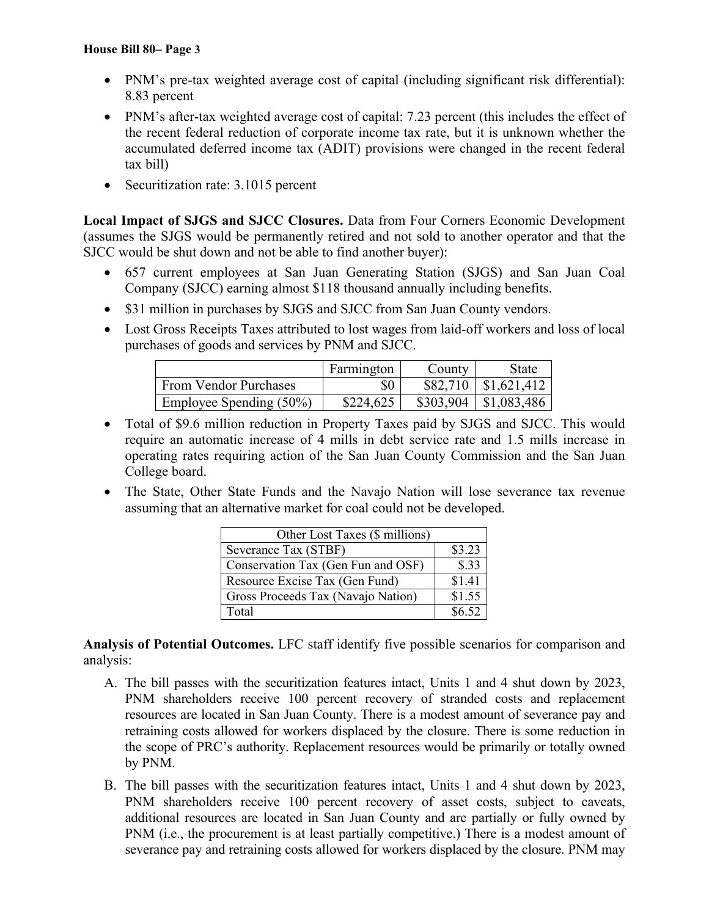- PNM's pre-tax weighted average cost of capital (including significant risk differential): 8.83 percent
- PNM's after-tax weighted average cost of capital: 7.23 percent (this includes the effect of the recent federal reduction of corporate income tax rate, but it is unknown whether the accumulated deferred income tax (ADIT) provisions were changed in the recent federal tax bill)
- Securitization rate: 3.1015 percent

**Local Impact of SJGS and SJCC Closures.** Data from Four Corners Economic Development (assumes the SJGS would be permanently retired and not sold to another operator and that the SJCC would be shut down and not be able to find another buyer):

- 657 current employees at San Juan Generating Station (SJGS) and San Juan Coal Company (SJCC) earning almost \$118 thousand annually including benefits.
- \$31 million in purchases by SJGS and SJCC from San Juan County vendors.
- Lost Gross Receipts Taxes attributed to lost wages from laid-off workers and loss of local purchases of goods and services by PNM and SJCC.

|                              | Farmington | County   | State                    |
|------------------------------|------------|----------|--------------------------|
| <b>From Vendor Purchases</b> | \$0        | \$82,710 | \$1,621,412              |
| Employee Spending $(50\%)$   | \$224,625  |          | $$303,904$   \$1,083,486 |

- Total of \$9.6 million reduction in Property Taxes paid by SJGS and SJCC. This would require an automatic increase of 4 mills in debt service rate and 1.5 mills increase in operating rates requiring action of the San Juan County Commission and the San Juan College board.
- The State, Other State Funds and the Navajo Nation will lose severance tax revenue assuming that an alternative market for coal could not be developed.

| Other Lost Taxes (\$ millions)     |        |  |  |
|------------------------------------|--------|--|--|
| Severance Tax (STBF)               | \$3.23 |  |  |
| Conservation Tax (Gen Fun and OSF) | \$.33  |  |  |
| Resource Excise Tax (Gen Fund)     | \$1.41 |  |  |
| Gross Proceeds Tax (Navajo Nation) | \$1.55 |  |  |
| Total                              | \$6.52 |  |  |

**Analysis of Potential Outcomes.** LFC staff identify five possible scenarios for comparison and analysis:

- A. The bill passes with the securitization features intact, Units 1 and 4 shut down by 2023, PNM shareholders receive 100 percent recovery of stranded costs and replacement resources are located in San Juan County. There is a modest amount of severance pay and retraining costs allowed for workers displaced by the closure. There is some reduction in the scope of PRC's authority. Replacement resources would be primarily or totally owned by PNM.
- B. The bill passes with the securitization features intact, Units 1 and 4 shut down by 2023, PNM shareholders receive 100 percent recovery of asset costs, subject to caveats, additional resources are located in San Juan County and are partially or fully owned by PNM (i.e., the procurement is at least partially competitive.) There is a modest amount of severance pay and retraining costs allowed for workers displaced by the closure. PNM may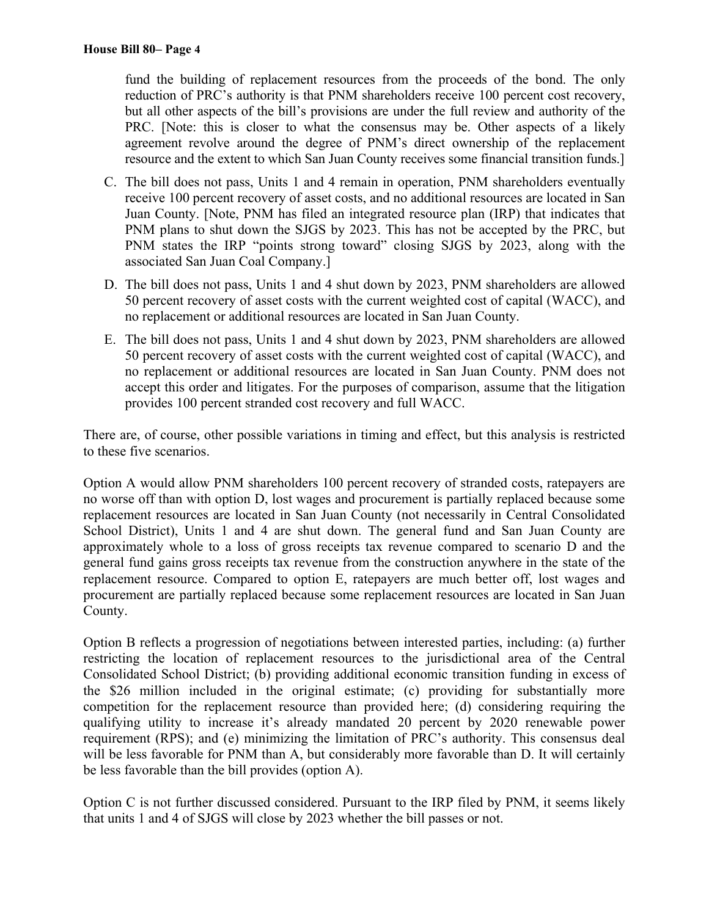fund the building of replacement resources from the proceeds of the bond. The only reduction of PRC's authority is that PNM shareholders receive 100 percent cost recovery, but all other aspects of the bill's provisions are under the full review and authority of the PRC. [Note: this is closer to what the consensus may be. Other aspects of a likely agreement revolve around the degree of PNM's direct ownership of the replacement resource and the extent to which San Juan County receives some financial transition funds.]

- C. The bill does not pass, Units 1 and 4 remain in operation, PNM shareholders eventually receive 100 percent recovery of asset costs, and no additional resources are located in San Juan County. [Note, PNM has filed an integrated resource plan (IRP) that indicates that PNM plans to shut down the SJGS by 2023. This has not be accepted by the PRC, but PNM states the IRP "points strong toward" closing SJGS by 2023, along with the associated San Juan Coal Company.]
- D. The bill does not pass, Units 1 and 4 shut down by 2023, PNM shareholders are allowed 50 percent recovery of asset costs with the current weighted cost of capital (WACC), and no replacement or additional resources are located in San Juan County.
- E. The bill does not pass, Units 1 and 4 shut down by 2023, PNM shareholders are allowed 50 percent recovery of asset costs with the current weighted cost of capital (WACC), and no replacement or additional resources are located in San Juan County. PNM does not accept this order and litigates. For the purposes of comparison, assume that the litigation provides 100 percent stranded cost recovery and full WACC.

There are, of course, other possible variations in timing and effect, but this analysis is restricted to these five scenarios.

Option A would allow PNM shareholders 100 percent recovery of stranded costs, ratepayers are no worse off than with option D, lost wages and procurement is partially replaced because some replacement resources are located in San Juan County (not necessarily in Central Consolidated School District), Units 1 and 4 are shut down. The general fund and San Juan County are approximately whole to a loss of gross receipts tax revenue compared to scenario D and the general fund gains gross receipts tax revenue from the construction anywhere in the state of the replacement resource. Compared to option E, ratepayers are much better off, lost wages and procurement are partially replaced because some replacement resources are located in San Juan County.

Option B reflects a progression of negotiations between interested parties, including: (a) further restricting the location of replacement resources to the jurisdictional area of the Central Consolidated School District; (b) providing additional economic transition funding in excess of the \$26 million included in the original estimate; (c) providing for substantially more competition for the replacement resource than provided here; (d) considering requiring the qualifying utility to increase it's already mandated 20 percent by 2020 renewable power requirement (RPS); and (e) minimizing the limitation of PRC's authority. This consensus deal will be less favorable for PNM than A, but considerably more favorable than D. It will certainly be less favorable than the bill provides (option A).

Option C is not further discussed considered. Pursuant to the IRP filed by PNM, it seems likely that units 1 and 4 of SJGS will close by 2023 whether the bill passes or not.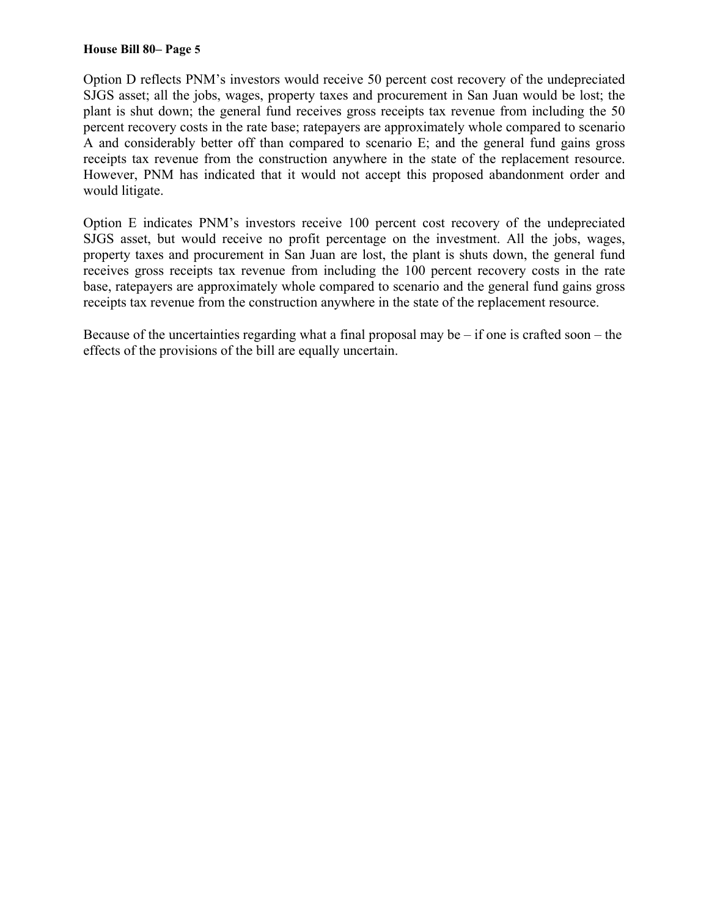Option D reflects PNM's investors would receive 50 percent cost recovery of the undepreciated SJGS asset; all the jobs, wages, property taxes and procurement in San Juan would be lost; the plant is shut down; the general fund receives gross receipts tax revenue from including the 50 percent recovery costs in the rate base; ratepayers are approximately whole compared to scenario A and considerably better off than compared to scenario E; and the general fund gains gross receipts tax revenue from the construction anywhere in the state of the replacement resource. However, PNM has indicated that it would not accept this proposed abandonment order and would litigate.

Option E indicates PNM's investors receive 100 percent cost recovery of the undepreciated SJGS asset, but would receive no profit percentage on the investment. All the jobs, wages, property taxes and procurement in San Juan are lost, the plant is shuts down, the general fund receives gross receipts tax revenue from including the 100 percent recovery costs in the rate base, ratepayers are approximately whole compared to scenario and the general fund gains gross receipts tax revenue from the construction anywhere in the state of the replacement resource.

Because of the uncertainties regarding what a final proposal may be  $-$  if one is crafted soon  $-$  the effects of the provisions of the bill are equally uncertain.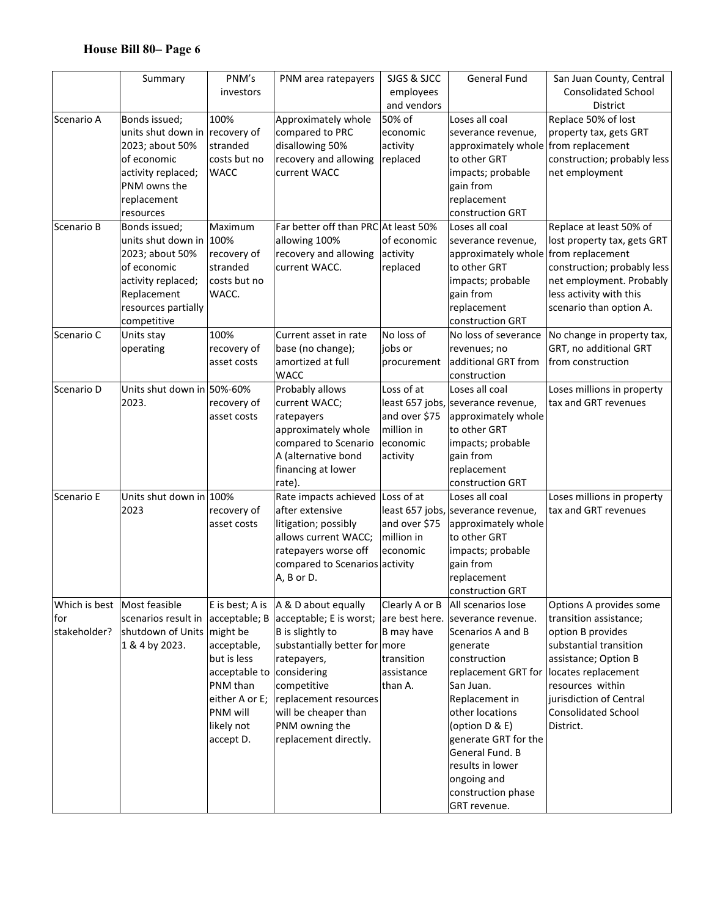|                             | Summary                                           | PNM's                     | PNM area ratepayers                                              | SJGS & SJCC                      | <b>General Fund</b>                     | San Juan County, Central                          |
|-----------------------------|---------------------------------------------------|---------------------------|------------------------------------------------------------------|----------------------------------|-----------------------------------------|---------------------------------------------------|
|                             |                                                   | investors                 |                                                                  | employees                        |                                         | <b>Consolidated School</b>                        |
|                             |                                                   |                           |                                                                  | and vendors                      |                                         | District                                          |
| Scenario A                  | Bonds issued;                                     | 100%                      | Approximately whole                                              | 50% of                           | Loses all coal                          | Replace 50% of lost                               |
|                             | units shut down in recovery of                    |                           | compared to PRC                                                  | economic                         | severance revenue,                      | property tax, gets GRT                            |
|                             | 2023; about 50%                                   | stranded                  | disallowing 50%                                                  | activity                         | approximately whole from replacement    |                                                   |
|                             | of economic                                       | costs but no              | recovery and allowing                                            | replaced                         | to other GRT                            | construction; probably less                       |
|                             | activity replaced;                                | <b>WACC</b>               | current WACC                                                     |                                  | impacts; probable                       | net employment                                    |
|                             | PNM owns the                                      |                           |                                                                  |                                  | gain from                               |                                                   |
|                             | replacement                                       |                           |                                                                  |                                  | replacement                             |                                                   |
|                             | resources                                         |                           |                                                                  |                                  | construction GRT                        |                                                   |
| Scenario B                  | Bonds issued;                                     | Maximum                   | Far better off than PRC At least 50%                             |                                  | Loses all coal                          | Replace at least 50% of                           |
|                             | units shut down in 100%                           |                           | allowing 100%                                                    | of economic                      | severance revenue,                      | lost property tax, gets GRT                       |
|                             | 2023; about 50%                                   | recovery of               | recovery and allowing                                            | activity                         | approximately whole from replacement    |                                                   |
|                             | of economic                                       | stranded                  | current WACC.                                                    | replaced                         | to other GRT                            | construction; probably less                       |
|                             | activity replaced;                                | costs but no              |                                                                  |                                  | impacts; probable                       | net employment. Probably                          |
|                             | Replacement                                       | WACC.                     |                                                                  |                                  | gain from                               | less activity with this                           |
|                             | resources partially                               |                           |                                                                  |                                  | replacement                             | scenario than option A.                           |
|                             | competitive                                       |                           |                                                                  |                                  | construction GRT                        |                                                   |
| Scenario C                  | Units stay                                        | 100%                      | Current asset in rate                                            | No loss of                       | No loss of severance                    | No change in property tax,                        |
|                             | operating                                         | recovery of               | base (no change);                                                | iobs or                          | revenues; no                            | GRT, no additional GRT                            |
|                             |                                                   | asset costs               | amortized at full                                                | procurement                      | additional GRT from                     | from construction                                 |
|                             |                                                   |                           | <b>WACC</b>                                                      |                                  | construction                            |                                                   |
| Scenario D                  | Units shut down in 50%-60%                        |                           | Probably allows                                                  | Loss of at                       | Loses all coal                          | Loses millions in property                        |
|                             | 2023.                                             | recovery of               | current WACC;                                                    |                                  | least 657 jobs, severance revenue,      | tax and GRT revenues                              |
|                             |                                                   | asset costs               | ratepayers                                                       | and over \$75                    | approximately whole                     |                                                   |
|                             |                                                   |                           | approximately whole                                              | million in                       | to other GRT                            |                                                   |
|                             |                                                   |                           | compared to Scenario                                             | economic                         | impacts; probable                       |                                                   |
|                             |                                                   |                           | A (alternative bond                                              | activity                         | gain from                               |                                                   |
|                             |                                                   |                           | financing at lower                                               |                                  | replacement                             |                                                   |
|                             |                                                   |                           | rate).                                                           |                                  | construction GRT                        |                                                   |
| Scenario E                  | Units shut down in 100%                           |                           | Rate impacts achieved Loss of at                                 |                                  | Loses all coal                          | Loses millions in property                        |
|                             | 2023                                              | recovery of               | after extensive                                                  |                                  | least 657 jobs, severance revenue,      | tax and GRT revenues                              |
|                             |                                                   | asset costs               | litigation; possibly                                             | and over \$75                    | approximately whole                     |                                                   |
|                             |                                                   |                           | allows current WACC;                                             | million in                       | to other GRT                            |                                                   |
|                             |                                                   |                           | ratepayers worse off                                             | economic                         | impacts; probable                       |                                                   |
|                             |                                                   |                           | compared to Scenarios activity                                   |                                  | gain from                               |                                                   |
|                             |                                                   |                           | A, B or D.                                                       |                                  | replacement                             |                                                   |
|                             |                                                   |                           |                                                                  |                                  | construction GRT                        |                                                   |
| Which is best Most feasible |                                                   | E is best; A is           | A & D about equally<br>$ acceptable; B $ acceptable; E is worst; | Clearly A or B<br>are best here. | All scenarios lose                      | Options A provides some<br>transition assistance; |
| for<br>stakeholder?         | scenarios result in<br>shutdown of Units might be |                           | B is slightly to                                                 | B may have                       | severance revenue.<br>Scenarios A and B | option B provides                                 |
|                             | 1 & 4 by 2023.                                    | acceptable,               | substantially better for more                                    |                                  |                                         | substantial transition                            |
|                             |                                                   | but is less               | ratepayers,                                                      | transition                       | generate<br>construction                | assistance; Option B                              |
|                             |                                                   | acceptable to considering |                                                                  | assistance                       | replacement GRT for locates replacement |                                                   |
|                             |                                                   | PNM than                  | competitive                                                      | than A.                          | San Juan.                               | resources within                                  |
|                             |                                                   | either A or E;            | replacement resources                                            |                                  | Replacement in                          | jurisdiction of Central                           |
|                             |                                                   | PNM will                  | will be cheaper than                                             |                                  | other locations                         | <b>Consolidated School</b>                        |
|                             |                                                   | likely not                | PNM owning the                                                   |                                  | (option D & E)                          | District.                                         |
|                             |                                                   | accept D.                 | replacement directly.                                            |                                  | generate GRT for the                    |                                                   |
|                             |                                                   |                           |                                                                  |                                  | General Fund. B                         |                                                   |
|                             |                                                   |                           |                                                                  |                                  | results in lower                        |                                                   |
|                             |                                                   |                           |                                                                  |                                  | ongoing and                             |                                                   |
|                             |                                                   |                           |                                                                  |                                  | construction phase                      |                                                   |
|                             |                                                   |                           |                                                                  |                                  | GRT revenue.                            |                                                   |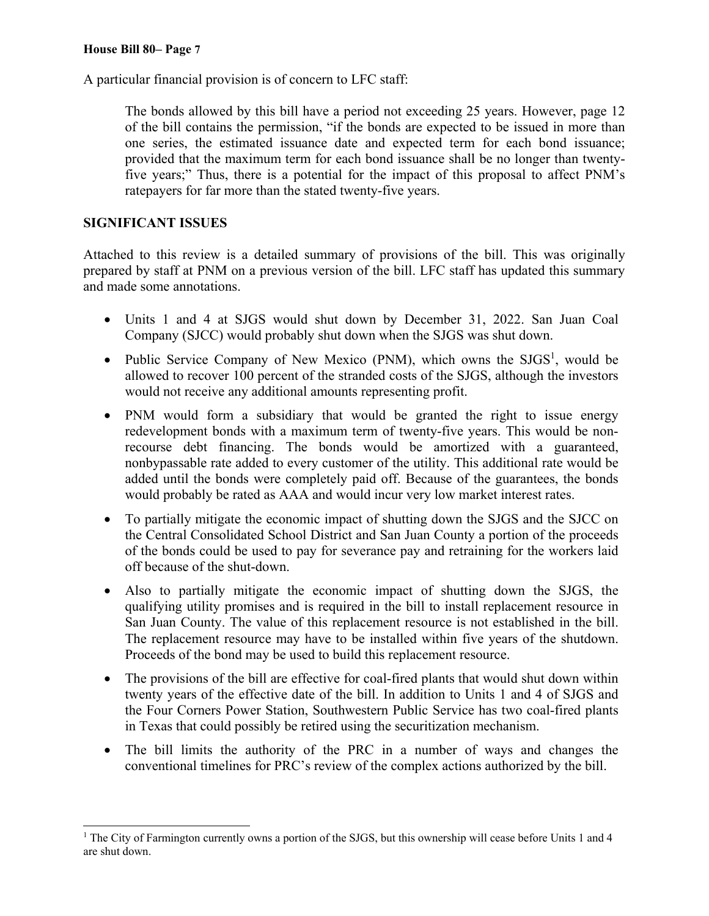A particular financial provision is of concern to LFC staff:

The bonds allowed by this bill have a period not exceeding 25 years. However, page 12 of the bill contains the permission, "if the bonds are expected to be issued in more than one series, the estimated issuance date and expected term for each bond issuance; provided that the maximum term for each bond issuance shall be no longer than twentyfive years;" Thus, there is a potential for the impact of this proposal to affect PNM's ratepayers for far more than the stated twenty-five years.

## **SIGNIFICANT ISSUES**

Attached to this review is a detailed summary of provisions of the bill. This was originally prepared by staff at PNM on a previous version of the bill. LFC staff has updated this summary and made some annotations.

- Units 1 and 4 at SJGS would shut down by December 31, 2022. San Juan Coal Company (SJCC) would probably shut down when the SJGS was shut down.
- Public Service Company of New Mexico (PNM), which owns the  $S J G S<sup>1</sup>$ , would be allowed to recover 100 percent of the stranded costs of the SJGS, although the investors would not receive any additional amounts representing profit.
- PNM would form a subsidiary that would be granted the right to issue energy redevelopment bonds with a maximum term of twenty-five years. This would be nonrecourse debt financing. The bonds would be amortized with a guaranteed, nonbypassable rate added to every customer of the utility. This additional rate would be added until the bonds were completely paid off. Because of the guarantees, the bonds would probably be rated as AAA and would incur very low market interest rates.
- To partially mitigate the economic impact of shutting down the SJGS and the SJCC on the Central Consolidated School District and San Juan County a portion of the proceeds of the bonds could be used to pay for severance pay and retraining for the workers laid off because of the shut-down.
- Also to partially mitigate the economic impact of shutting down the SJGS, the qualifying utility promises and is required in the bill to install replacement resource in San Juan County. The value of this replacement resource is not established in the bill. The replacement resource may have to be installed within five years of the shutdown. Proceeds of the bond may be used to build this replacement resource.
- The provisions of the bill are effective for coal-fired plants that would shut down within twenty years of the effective date of the bill. In addition to Units 1 and 4 of SJGS and the Four Corners Power Station, Southwestern Public Service has two coal-fired plants in Texas that could possibly be retired using the securitization mechanism.
- The bill limits the authority of the PRC in a number of ways and changes the conventional timelines for PRC's review of the complex actions authorized by the bill.

<sup>&</sup>lt;sup>1</sup> The City of Farmington currently owns a portion of the SJGS, but this ownership will cease before Units 1 and 4 are shut down.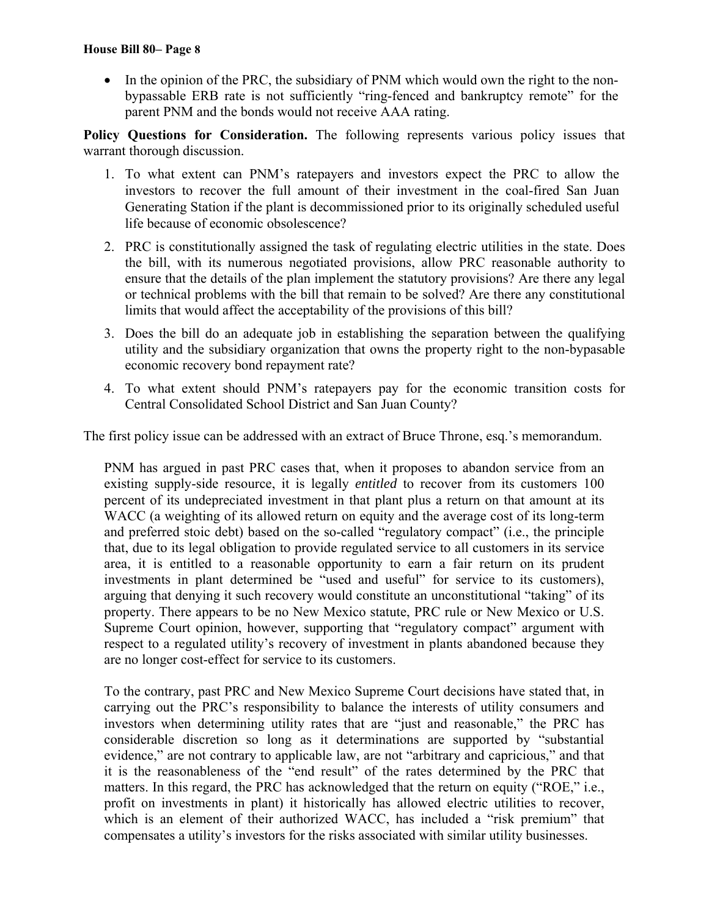• In the opinion of the PRC, the subsidiary of PNM which would own the right to the nonbypassable ERB rate is not sufficiently "ring-fenced and bankruptcy remote" for the parent PNM and the bonds would not receive AAA rating.

**Policy Questions for Consideration.** The following represents various policy issues that warrant thorough discussion.

- 1. To what extent can PNM's ratepayers and investors expect the PRC to allow the investors to recover the full amount of their investment in the coal-fired San Juan Generating Station if the plant is decommissioned prior to its originally scheduled useful life because of economic obsolescence?
- 2. PRC is constitutionally assigned the task of regulating electric utilities in the state. Does the bill, with its numerous negotiated provisions, allow PRC reasonable authority to ensure that the details of the plan implement the statutory provisions? Are there any legal or technical problems with the bill that remain to be solved? Are there any constitutional limits that would affect the acceptability of the provisions of this bill?
- 3. Does the bill do an adequate job in establishing the separation between the qualifying utility and the subsidiary organization that owns the property right to the non-bypasable economic recovery bond repayment rate?
- 4. To what extent should PNM's ratepayers pay for the economic transition costs for Central Consolidated School District and San Juan County?

The first policy issue can be addressed with an extract of Bruce Throne, esq.'s memorandum.

PNM has argued in past PRC cases that, when it proposes to abandon service from an existing supply-side resource, it is legally *entitled* to recover from its customers 100 percent of its undepreciated investment in that plant plus a return on that amount at its WACC (a weighting of its allowed return on equity and the average cost of its long-term and preferred stoic debt) based on the so-called "regulatory compact" (i.e., the principle that, due to its legal obligation to provide regulated service to all customers in its service area, it is entitled to a reasonable opportunity to earn a fair return on its prudent investments in plant determined be "used and useful" for service to its customers), arguing that denying it such recovery would constitute an unconstitutional "taking" of its property. There appears to be no New Mexico statute, PRC rule or New Mexico or U.S. Supreme Court opinion, however, supporting that "regulatory compact" argument with respect to a regulated utility's recovery of investment in plants abandoned because they are no longer cost-effect for service to its customers.

To the contrary, past PRC and New Mexico Supreme Court decisions have stated that, in carrying out the PRC's responsibility to balance the interests of utility consumers and investors when determining utility rates that are "just and reasonable," the PRC has considerable discretion so long as it determinations are supported by "substantial evidence," are not contrary to applicable law, are not "arbitrary and capricious," and that it is the reasonableness of the "end result" of the rates determined by the PRC that matters. In this regard, the PRC has acknowledged that the return on equity ("ROE," i.e., profit on investments in plant) it historically has allowed electric utilities to recover, which is an element of their authorized WACC, has included a "risk premium" that compensates a utility's investors for the risks associated with similar utility businesses.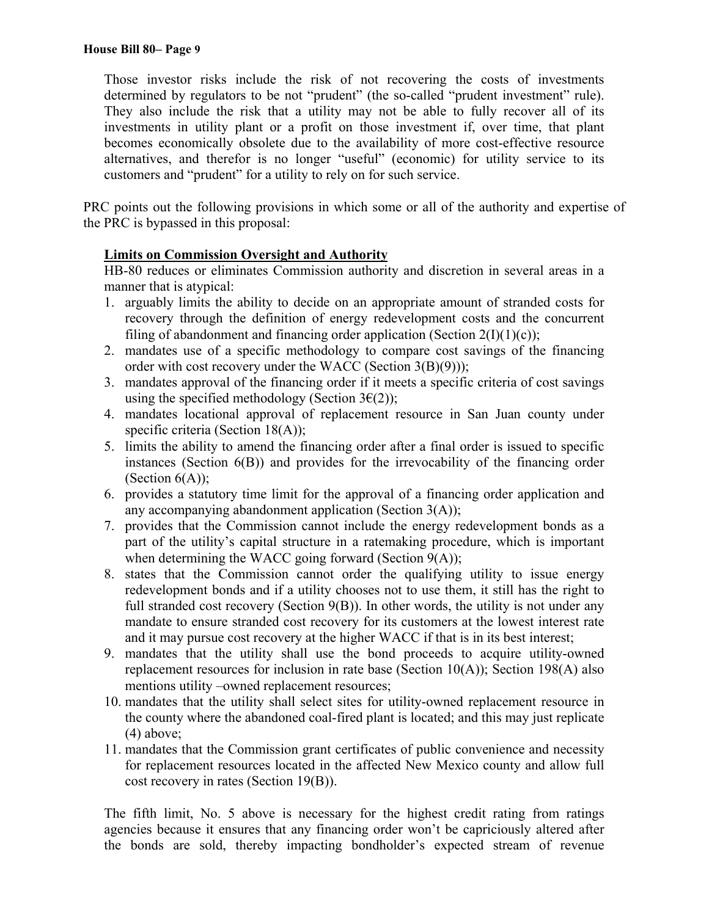Those investor risks include the risk of not recovering the costs of investments determined by regulators to be not "prudent" (the so-called "prudent investment" rule). They also include the risk that a utility may not be able to fully recover all of its investments in utility plant or a profit on those investment if, over time, that plant becomes economically obsolete due to the availability of more cost-effective resource alternatives, and therefor is no longer "useful" (economic) for utility service to its customers and "prudent" for a utility to rely on for such service.

PRC points out the following provisions in which some or all of the authority and expertise of the PRC is bypassed in this proposal:

# **Limits on Commission Oversight and Authority**

HB-80 reduces or eliminates Commission authority and discretion in several areas in a manner that is atypical:

- 1. arguably limits the ability to decide on an appropriate amount of stranded costs for recovery through the definition of energy redevelopment costs and the concurrent filing of abandonment and financing order application (Section 2(I)(1)(c));
- 2. mandates use of a specific methodology to compare cost savings of the financing order with cost recovery under the WACC (Section 3(B)(9)));
- 3. mandates approval of the financing order if it meets a specific criteria of cost savings using the specified methodology (Section  $3\epsilon(2)$ );
- 4. mandates locational approval of replacement resource in San Juan county under specific criteria (Section 18(A));
- 5. limits the ability to amend the financing order after a final order is issued to specific instances (Section 6(B)) and provides for the irrevocability of the financing order (Section  $6(A)$ );
- 6. provides a statutory time limit for the approval of a financing order application and any accompanying abandonment application (Section 3(A));
- 7. provides that the Commission cannot include the energy redevelopment bonds as a part of the utility's capital structure in a ratemaking procedure, which is important when determining the WACC going forward (Section  $9(A)$ );
- 8. states that the Commission cannot order the qualifying utility to issue energy redevelopment bonds and if a utility chooses not to use them, it still has the right to full stranded cost recovery (Section 9(B)). In other words, the utility is not under any mandate to ensure stranded cost recovery for its customers at the lowest interest rate and it may pursue cost recovery at the higher WACC if that is in its best interest;
- 9. mandates that the utility shall use the bond proceeds to acquire utility-owned replacement resources for inclusion in rate base (Section 10(A)); Section 198(A) also mentions utility –owned replacement resources;
- 10. mandates that the utility shall select sites for utility-owned replacement resource in the county where the abandoned coal-fired plant is located; and this may just replicate (4) above;
- 11. mandates that the Commission grant certificates of public convenience and necessity for replacement resources located in the affected New Mexico county and allow full cost recovery in rates (Section 19(B)).

The fifth limit, No. 5 above is necessary for the highest credit rating from ratings agencies because it ensures that any financing order won't be capriciously altered after the bonds are sold, thereby impacting bondholder's expected stream of revenue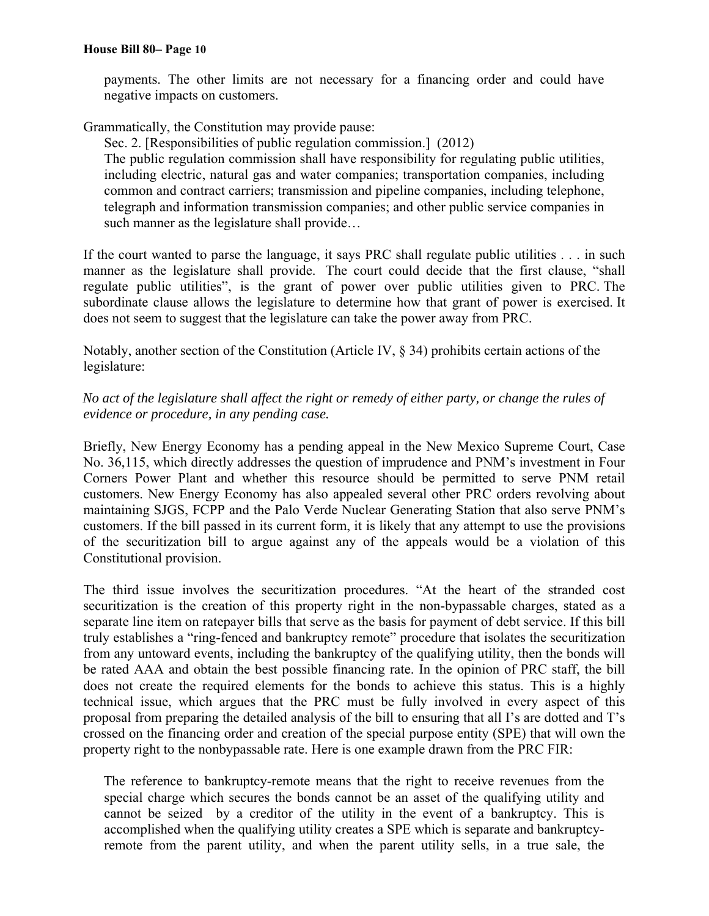payments. The other limits are not necessary for a financing order and could have negative impacts on customers.

Grammatically, the Constitution may provide pause:

Sec. 2. [Responsibilities of public regulation commission.] (2012) The public regulation commission shall have responsibility for regulating public utilities, including electric, natural gas and water companies; transportation companies, including common and contract carriers; transmission and pipeline companies, including telephone, telegraph and information transmission companies; and other public service companies in such manner as the legislature shall provide…

If the court wanted to parse the language, it says PRC shall regulate public utilities . . . in such manner as the legislature shall provide. The court could decide that the first clause, "shall regulate public utilities", is the grant of power over public utilities given to PRC. The subordinate clause allows the legislature to determine how that grant of power is exercised. It does not seem to suggest that the legislature can take the power away from PRC.

Notably, another section of the Constitution (Article IV, § 34) prohibits certain actions of the legislature:

# *No act of the legislature shall affect the right or remedy of either party, or change the rules of evidence or procedure, in any pending case.*

Briefly, New Energy Economy has a pending appeal in the New Mexico Supreme Court, Case No. 36,115, which directly addresses the question of imprudence and PNM's investment in Four Corners Power Plant and whether this resource should be permitted to serve PNM retail customers. New Energy Economy has also appealed several other PRC orders revolving about maintaining SJGS, FCPP and the Palo Verde Nuclear Generating Station that also serve PNM's customers. If the bill passed in its current form, it is likely that any attempt to use the provisions of the securitization bill to argue against any of the appeals would be a violation of this Constitutional provision.

The third issue involves the securitization procedures. "At the heart of the stranded cost securitization is the creation of this property right in the non-bypassable charges, stated as a separate line item on ratepayer bills that serve as the basis for payment of debt service. If this bill truly establishes a "ring-fenced and bankruptcy remote" procedure that isolates the securitization from any untoward events, including the bankruptcy of the qualifying utility, then the bonds will be rated AAA and obtain the best possible financing rate. In the opinion of PRC staff, the bill does not create the required elements for the bonds to achieve this status. This is a highly technical issue, which argues that the PRC must be fully involved in every aspect of this proposal from preparing the detailed analysis of the bill to ensuring that all I's are dotted and T's crossed on the financing order and creation of the special purpose entity (SPE) that will own the property right to the nonbypassable rate. Here is one example drawn from the PRC FIR:

The reference to bankruptcy-remote means that the right to receive revenues from the special charge which secures the bonds cannot be an asset of the qualifying utility and cannot be seized by a creditor of the utility in the event of a bankruptcy. This is accomplished when the qualifying utility creates a SPE which is separate and bankruptcyremote from the parent utility, and when the parent utility sells, in a true sale, the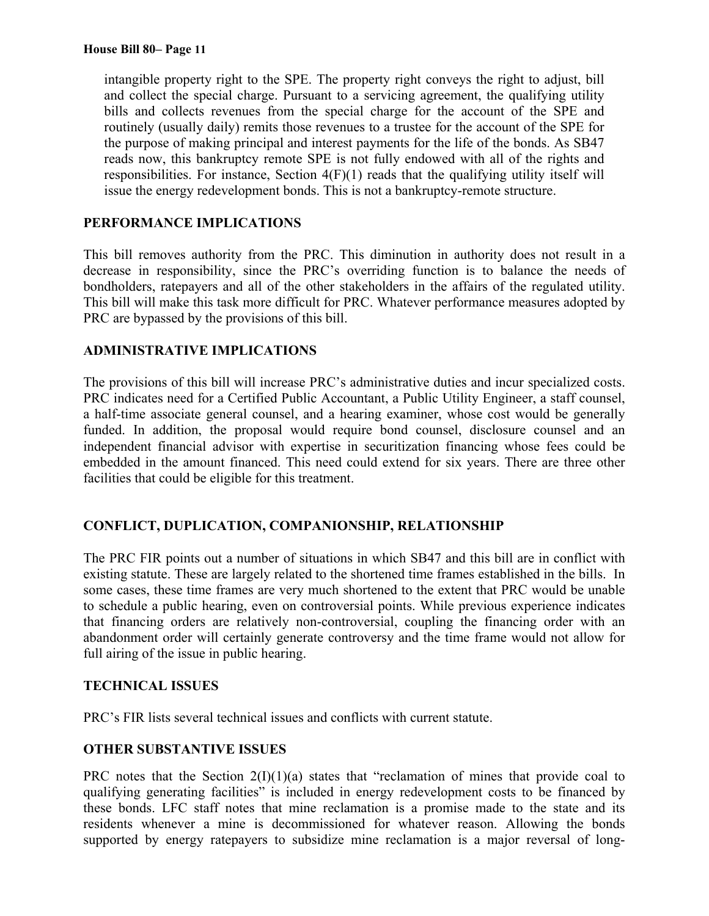intangible property right to the SPE. The property right conveys the right to adjust, bill and collect the special charge. Pursuant to a servicing agreement, the qualifying utility bills and collects revenues from the special charge for the account of the SPE and routinely (usually daily) remits those revenues to a trustee for the account of the SPE for the purpose of making principal and interest payments for the life of the bonds. As SB47 reads now, this bankruptcy remote SPE is not fully endowed with all of the rights and responsibilities. For instance, Section  $4(F)(1)$  reads that the qualifying utility itself will issue the energy redevelopment bonds. This is not a bankruptcy-remote structure.

# **PERFORMANCE IMPLICATIONS**

This bill removes authority from the PRC. This diminution in authority does not result in a decrease in responsibility, since the PRC's overriding function is to balance the needs of bondholders, ratepayers and all of the other stakeholders in the affairs of the regulated utility. This bill will make this task more difficult for PRC. Whatever performance measures adopted by PRC are bypassed by the provisions of this bill.

### **ADMINISTRATIVE IMPLICATIONS**

The provisions of this bill will increase PRC's administrative duties and incur specialized costs. PRC indicates need for a Certified Public Accountant, a Public Utility Engineer, a staff counsel, a half-time associate general counsel, and a hearing examiner, whose cost would be generally funded. In addition, the proposal would require bond counsel, disclosure counsel and an independent financial advisor with expertise in securitization financing whose fees could be embedded in the amount financed. This need could extend for six years. There are three other facilities that could be eligible for this treatment.

# **CONFLICT, DUPLICATION, COMPANIONSHIP, RELATIONSHIP**

The PRC FIR points out a number of situations in which SB47 and this bill are in conflict with existing statute. These are largely related to the shortened time frames established in the bills. In some cases, these time frames are very much shortened to the extent that PRC would be unable to schedule a public hearing, even on controversial points. While previous experience indicates that financing orders are relatively non-controversial, coupling the financing order with an abandonment order will certainly generate controversy and the time frame would not allow for full airing of the issue in public hearing.

### **TECHNICAL ISSUES**

PRC's FIR lists several technical issues and conflicts with current statute.

### **OTHER SUBSTANTIVE ISSUES**

PRC notes that the Section  $2(I)(1)(a)$  states that "reclamation of mines that provide coal to qualifying generating facilities" is included in energy redevelopment costs to be financed by these bonds. LFC staff notes that mine reclamation is a promise made to the state and its residents whenever a mine is decommissioned for whatever reason. Allowing the bonds supported by energy ratepayers to subsidize mine reclamation is a major reversal of long-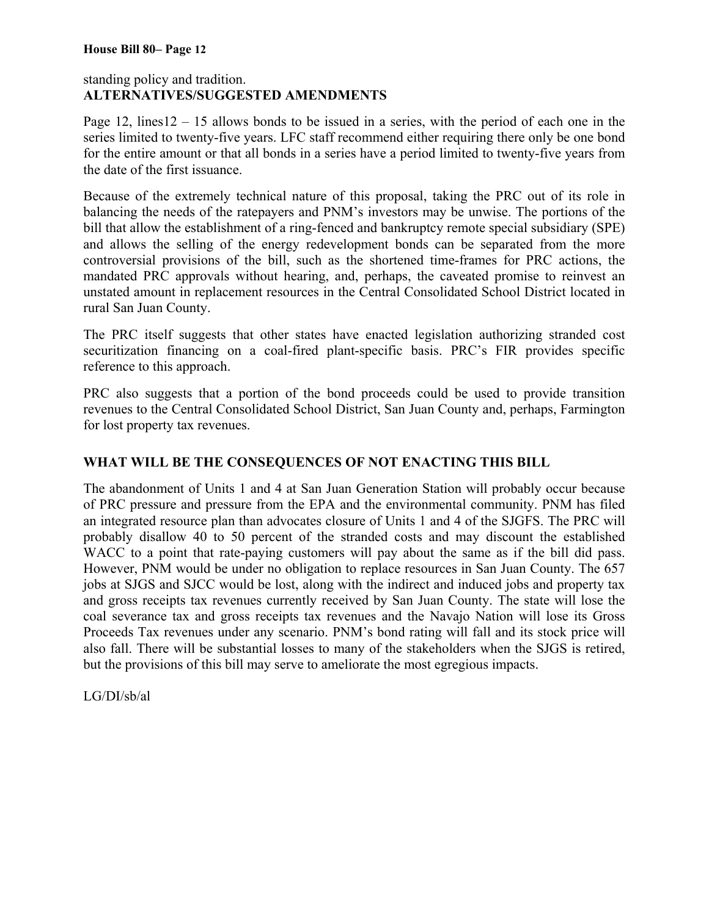# standing policy and tradition. **ALTERNATIVES/SUGGESTED AMENDMENTS**

Page 12, lines  $12 - 15$  allows bonds to be issued in a series, with the period of each one in the series limited to twenty-five years. LFC staff recommend either requiring there only be one bond for the entire amount or that all bonds in a series have a period limited to twenty-five years from the date of the first issuance.

Because of the extremely technical nature of this proposal, taking the PRC out of its role in balancing the needs of the ratepayers and PNM's investors may be unwise. The portions of the bill that allow the establishment of a ring-fenced and bankruptcy remote special subsidiary (SPE) and allows the selling of the energy redevelopment bonds can be separated from the more controversial provisions of the bill, such as the shortened time-frames for PRC actions, the mandated PRC approvals without hearing, and, perhaps, the caveated promise to reinvest an unstated amount in replacement resources in the Central Consolidated School District located in rural San Juan County.

The PRC itself suggests that other states have enacted legislation authorizing stranded cost securitization financing on a coal-fired plant-specific basis. PRC's FIR provides specific reference to this approach.

PRC also suggests that a portion of the bond proceeds could be used to provide transition revenues to the Central Consolidated School District, San Juan County and, perhaps, Farmington for lost property tax revenues.

# **WHAT WILL BE THE CONSEQUENCES OF NOT ENACTING THIS BILL**

The abandonment of Units 1 and 4 at San Juan Generation Station will probably occur because of PRC pressure and pressure from the EPA and the environmental community. PNM has filed an integrated resource plan than advocates closure of Units 1 and 4 of the SJGFS. The PRC will probably disallow 40 to 50 percent of the stranded costs and may discount the established WACC to a point that rate-paying customers will pay about the same as if the bill did pass. However, PNM would be under no obligation to replace resources in San Juan County. The 657 jobs at SJGS and SJCC would be lost, along with the indirect and induced jobs and property tax and gross receipts tax revenues currently received by San Juan County. The state will lose the coal severance tax and gross receipts tax revenues and the Navajo Nation will lose its Gross Proceeds Tax revenues under any scenario. PNM's bond rating will fall and its stock price will also fall. There will be substantial losses to many of the stakeholders when the SJGS is retired, but the provisions of this bill may serve to ameliorate the most egregious impacts.

LG/DI/sb/al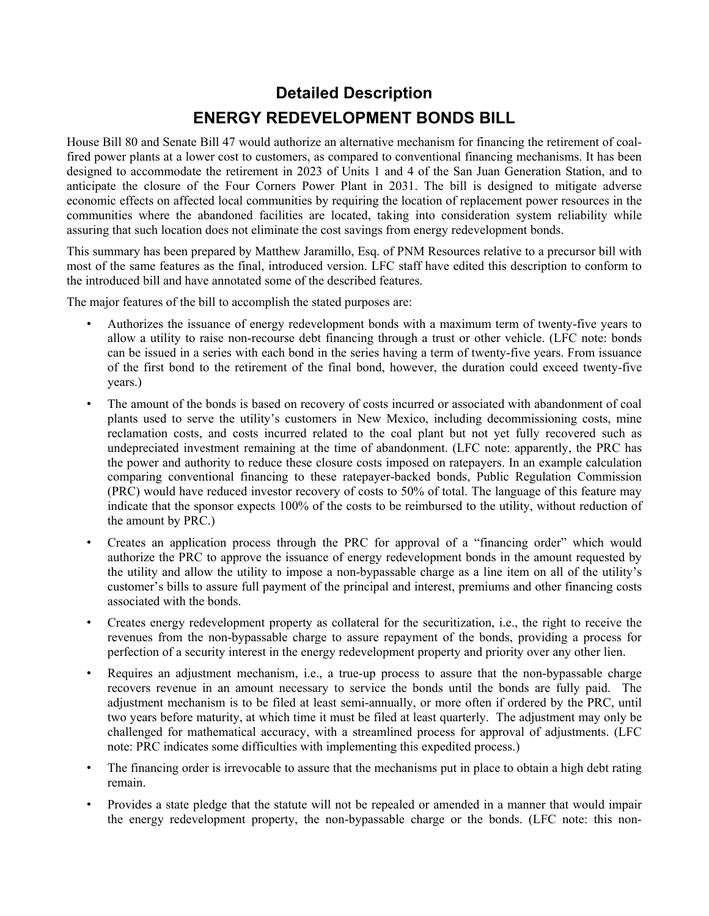# **Detailed Description ENERGY REDEVELOPMENT BONDS BILL**

House Bill 80 and Senate Bill 47 would authorize an alternative mechanism for financing the retirement of coalfired power plants at a lower cost to customers, as compared to conventional financing mechanisms. It has been designed to accommodate the retirement in 2023 of Units 1 and 4 of the San Juan Generation Station, and to anticipate the closure of the Four Corners Power Plant in 2031. The bill is designed to mitigate adverse economic effects on affected local communities by requiring the location of replacement power resources in the communities where the abandoned facilities are located, taking into consideration system reliability while assuring that such location does not eliminate the cost savings from energy redevelopment bonds.

This summary has been prepared by Matthew Jaramillo, Esq. of PNM Resources relative to a precursor bill with most of the same features as the final, introduced version. LFC staff have edited this description to conform to the introduced bill and have annotated some of the described features.

The major features of the bill to accomplish the stated purposes are:

- Authorizes the issuance of energy redevelopment bonds with a maximum term of twenty-five years to allow a utility to raise non-recourse debt financing through a trust or other vehicle. (LFC note: bonds can be issued in a series with each bond in the series having a term of twenty-five years. From issuance of the first bond to the retirement of the final bond, however, the duration could exceed twenty-five years.)
- The amount of the bonds is based on recovery of costs incurred or associated with abandonment of coal plants used to serve the utility's customers in New Mexico, including decommissioning costs, mine reclamation costs, and costs incurred related to the coal plant but not yet fully recovered such as undepreciated investment remaining at the time of abandonment. (LFC note: apparently, the PRC has the power and authority to reduce these closure costs imposed on ratepayers. In an example calculation comparing conventional financing to these ratepayer-backed bonds, Public Regulation Commission (PRC) would have reduced investor recovery of costs to 50% of total. The language of this feature may indicate that the sponsor expects 100% of the costs to be reimbursed to the utility, without reduction of the amount by PRC.)
- Creates an application process through the PRC for approval of a "financing order" which would authorize the PRC to approve the issuance of energy redevelopment bonds in the amount requested by the utility and allow the utility to impose a non-bypassable charge as a line item on all of the utility's customer's bills to assure full payment of the principal and interest, premiums and other financing costs associated with the bonds.
- Creates energy redevelopment property as collateral for the securitization, i.e., the right to receive the revenues from the non-bypassable charge to assure repayment of the bonds, providing a process for perfection of a security interest in the energy redevelopment property and priority over any other lien.
- Requires an adjustment mechanism, i.e., a true-up process to assure that the non-bypassable charge recovers revenue in an amount necessary to service the bonds until the bonds are fully paid. The adjustment mechanism is to be filed at least semi-annually, or more often if ordered by the PRC, until two years before maturity, at which time it must be filed at least quarterly. The adjustment may only be challenged for mathematical accuracy, with a streamlined process for approval of adjustments. (LFC note: PRC indicates some difficulties with implementing this expedited process.)
- The financing order is irrevocable to assure that the mechanisms put in place to obtain a high debt rating remain.
- Provides a state pledge that the statute will not be repealed or amended in a manner that would impair the energy redevelopment property, the non-bypassable charge or the bonds. (LFC note: this non-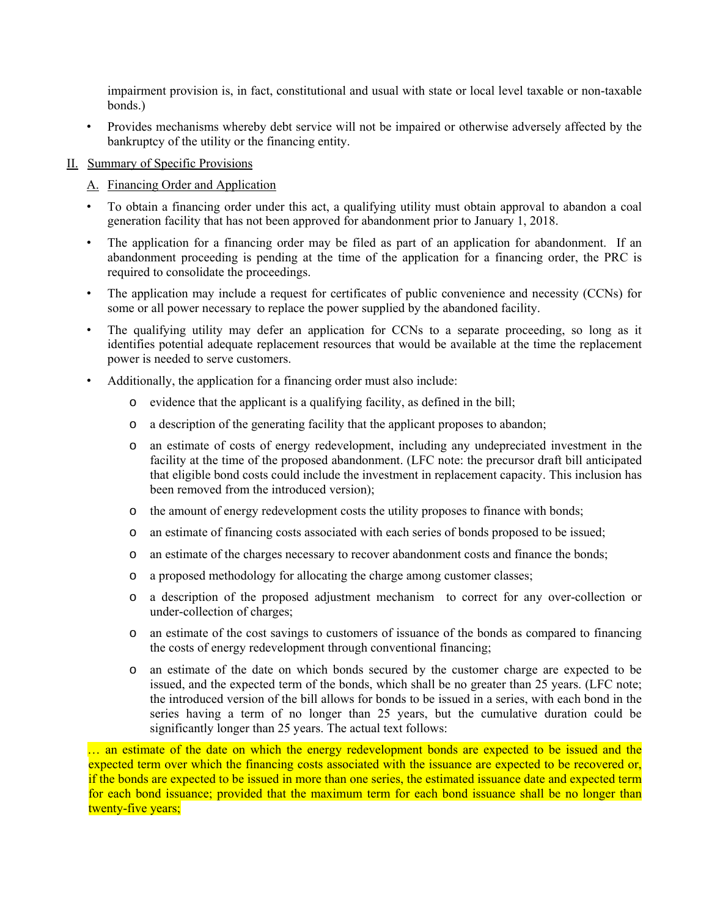impairment provision is, in fact, constitutional and usual with state or local level taxable or non-taxable bonds.)

• Provides mechanisms whereby debt service will not be impaired or otherwise adversely affected by the bankruptcy of the utility or the financing entity.

#### II. Summary of Specific Provisions

- A. Financing Order and Application
- To obtain a financing order under this act, a qualifying utility must obtain approval to abandon a coal generation facility that has not been approved for abandonment prior to January 1, 2018.
- The application for a financing order may be filed as part of an application for abandonment. If an abandonment proceeding is pending at the time of the application for a financing order, the PRC is required to consolidate the proceedings.
- The application may include a request for certificates of public convenience and necessity (CCNs) for some or all power necessary to replace the power supplied by the abandoned facility.
- The qualifying utility may defer an application for CCNs to a separate proceeding, so long as it identifies potential adequate replacement resources that would be available at the time the replacement power is needed to serve customers.
- Additionally, the application for a financing order must also include:
	- o evidence that the applicant is a qualifying facility, as defined in the bill;
	- o a description of the generating facility that the applicant proposes to abandon;
	- o an estimate of costs of energy redevelopment, including any undepreciated investment in the facility at the time of the proposed abandonment. (LFC note: the precursor draft bill anticipated that eligible bond costs could include the investment in replacement capacity. This inclusion has been removed from the introduced version);
	- o the amount of energy redevelopment costs the utility proposes to finance with bonds;
	- o an estimate of financing costs associated with each series of bonds proposed to be issued;
	- o an estimate of the charges necessary to recover abandonment costs and finance the bonds;
	- o a proposed methodology for allocating the charge among customer classes;
	- o a description of the proposed adjustment mechanism to correct for any over-collection or under-collection of charges;
	- o an estimate of the cost savings to customers of issuance of the bonds as compared to financing the costs of energy redevelopment through conventional financing;
	- o an estimate of the date on which bonds secured by the customer charge are expected to be issued, and the expected term of the bonds, which shall be no greater than 25 years. (LFC note; the introduced version of the bill allows for bonds to be issued in a series, with each bond in the series having a term of no longer than 25 years, but the cumulative duration could be significantly longer than 25 years. The actual text follows:

<sup>…</sup> an estimate of the date on which the energy redevelopment bonds are expected to be issued and the expected term over which the financing costs associated with the issuance are expected to be recovered or, if the bonds are expected to be issued in more than one series, the estimated issuance date and expected term for each bond issuance; provided that the maximum term for each bond issuance shall be no longer than twenty-five years;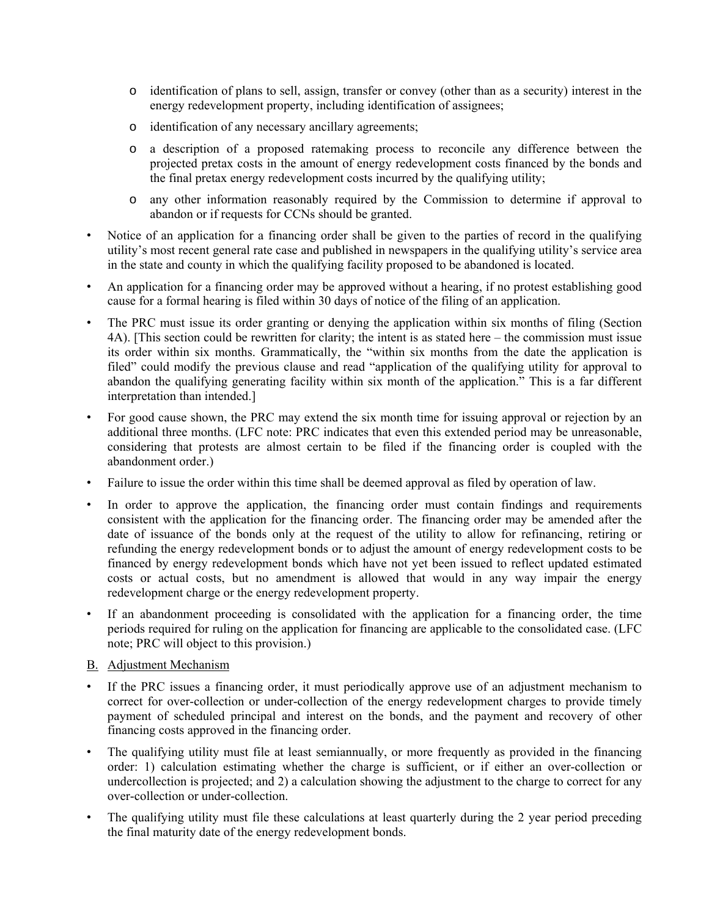- o identification of plans to sell, assign, transfer or convey (other than as a security) interest in the energy redevelopment property, including identification of assignees;
- o identification of any necessary ancillary agreements;
- o a description of a proposed ratemaking process to reconcile any difference between the projected pretax costs in the amount of energy redevelopment costs financed by the bonds and the final pretax energy redevelopment costs incurred by the qualifying utility;
- o any other information reasonably required by the Commission to determine if approval to abandon or if requests for CCNs should be granted.
- Notice of an application for a financing order shall be given to the parties of record in the qualifying utility's most recent general rate case and published in newspapers in the qualifying utility's service area in the state and county in which the qualifying facility proposed to be abandoned is located.
- An application for a financing order may be approved without a hearing, if no protest establishing good cause for a formal hearing is filed within 30 days of notice of the filing of an application.
- The PRC must issue its order granting or denying the application within six months of filing (Section 4A). [This section could be rewritten for clarity; the intent is as stated here – the commission must issue its order within six months. Grammatically, the "within six months from the date the application is filed" could modify the previous clause and read "application of the qualifying utility for approval to abandon the qualifying generating facility within six month of the application." This is a far different interpretation than intended.]
- For good cause shown, the PRC may extend the six month time for issuing approval or rejection by an additional three months. (LFC note: PRC indicates that even this extended period may be unreasonable, considering that protests are almost certain to be filed if the financing order is coupled with the abandonment order.)
- Failure to issue the order within this time shall be deemed approval as filed by operation of law.
- In order to approve the application, the financing order must contain findings and requirements consistent with the application for the financing order. The financing order may be amended after the date of issuance of the bonds only at the request of the utility to allow for refinancing, retiring or refunding the energy redevelopment bonds or to adjust the amount of energy redevelopment costs to be financed by energy redevelopment bonds which have not yet been issued to reflect updated estimated costs or actual costs, but no amendment is allowed that would in any way impair the energy redevelopment charge or the energy redevelopment property.
- If an abandonment proceeding is consolidated with the application for a financing order, the time periods required for ruling on the application for financing are applicable to the consolidated case. (LFC note; PRC will object to this provision.)

### B. Adjustment Mechanism

- If the PRC issues a financing order, it must periodically approve use of an adjustment mechanism to correct for over-collection or under-collection of the energy redevelopment charges to provide timely payment of scheduled principal and interest on the bonds, and the payment and recovery of other financing costs approved in the financing order.
- The qualifying utility must file at least semiannually, or more frequently as provided in the financing order: 1) calculation estimating whether the charge is sufficient, or if either an over-collection or undercollection is projected; and 2) a calculation showing the adjustment to the charge to correct for any over-collection or under-collection.
- The qualifying utility must file these calculations at least quarterly during the 2 year period preceding the final maturity date of the energy redevelopment bonds.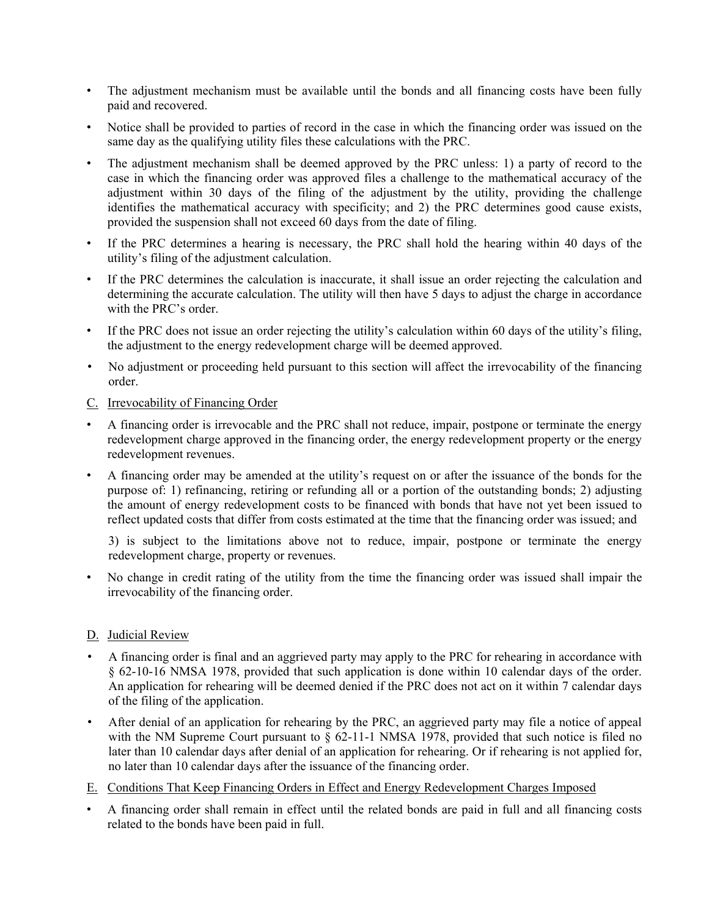- The adjustment mechanism must be available until the bonds and all financing costs have been fully paid and recovered.
- Notice shall be provided to parties of record in the case in which the financing order was issued on the same day as the qualifying utility files these calculations with the PRC.
- The adjustment mechanism shall be deemed approved by the PRC unless: 1) a party of record to the case in which the financing order was approved files a challenge to the mathematical accuracy of the adjustment within 30 days of the filing of the adjustment by the utility, providing the challenge identifies the mathematical accuracy with specificity; and 2) the PRC determines good cause exists, provided the suspension shall not exceed 60 days from the date of filing.
- If the PRC determines a hearing is necessary, the PRC shall hold the hearing within 40 days of the utility's filing of the adjustment calculation.
- If the PRC determines the calculation is inaccurate, it shall issue an order rejecting the calculation and determining the accurate calculation. The utility will then have 5 days to adjust the charge in accordance with the PRC's order.
- If the PRC does not issue an order rejecting the utility's calculation within 60 days of the utility's filing, the adjustment to the energy redevelopment charge will be deemed approved.
- No adjustment or proceeding held pursuant to this section will affect the irrevocability of the financing order.
- C. Irrevocability of Financing Order
- A financing order is irrevocable and the PRC shall not reduce, impair, postpone or terminate the energy redevelopment charge approved in the financing order, the energy redevelopment property or the energy redevelopment revenues.
- A financing order may be amended at the utility's request on or after the issuance of the bonds for the purpose of: 1) refinancing, retiring or refunding all or a portion of the outstanding bonds; 2) adjusting the amount of energy redevelopment costs to be financed with bonds that have not yet been issued to reflect updated costs that differ from costs estimated at the time that the financing order was issued; and

3) is subject to the limitations above not to reduce, impair, postpone or terminate the energy redevelopment charge, property or revenues.

• No change in credit rating of the utility from the time the financing order was issued shall impair the irrevocability of the financing order.

### D. Judicial Review

- A financing order is final and an aggrieved party may apply to the PRC for rehearing in accordance with § 62-10-16 NMSA 1978, provided that such application is done within 10 calendar days of the order. An application for rehearing will be deemed denied if the PRC does not act on it within 7 calendar days of the filing of the application.
- After denial of an application for rehearing by the PRC, an aggrieved party may file a notice of appeal with the NM Supreme Court pursuant to § 62-11-1 NMSA 1978, provided that such notice is filed no later than 10 calendar days after denial of an application for rehearing. Or if rehearing is not applied for, no later than 10 calendar days after the issuance of the financing order.
- E. Conditions That Keep Financing Orders in Effect and Energy Redevelopment Charges Imposed
- A financing order shall remain in effect until the related bonds are paid in full and all financing costs related to the bonds have been paid in full.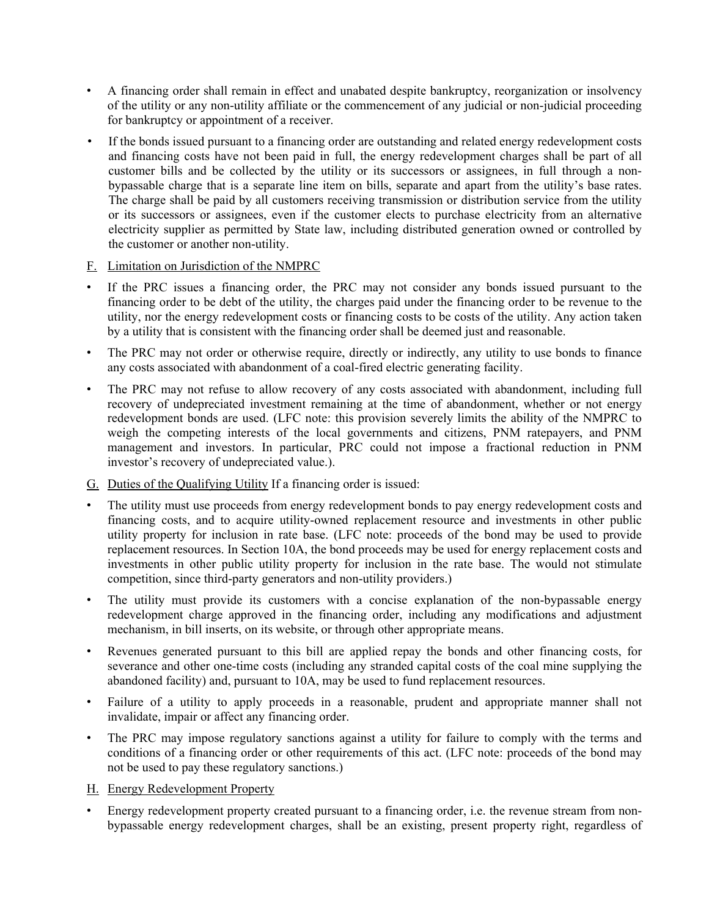- A financing order shall remain in effect and unabated despite bankruptcy, reorganization or insolvency of the utility or any non-utility affiliate or the commencement of any judicial or non-judicial proceeding for bankruptcy or appointment of a receiver.
- If the bonds issued pursuant to a financing order are outstanding and related energy redevelopment costs and financing costs have not been paid in full, the energy redevelopment charges shall be part of all customer bills and be collected by the utility or its successors or assignees, in full through a nonbypassable charge that is a separate line item on bills, separate and apart from the utility's base rates. The charge shall be paid by all customers receiving transmission or distribution service from the utility or its successors or assignees, even if the customer elects to purchase electricity from an alternative electricity supplier as permitted by State law, including distributed generation owned or controlled by the customer or another non-utility.
- F. Limitation on Jurisdiction of the NMPRC
- If the PRC issues a financing order, the PRC may not consider any bonds issued pursuant to the financing order to be debt of the utility, the charges paid under the financing order to be revenue to the utility, nor the energy redevelopment costs or financing costs to be costs of the utility. Any action taken by a utility that is consistent with the financing order shall be deemed just and reasonable.
- The PRC may not order or otherwise require, directly or indirectly, any utility to use bonds to finance any costs associated with abandonment of a coal-fired electric generating facility.
- The PRC may not refuse to allow recovery of any costs associated with abandonment, including full recovery of undepreciated investment remaining at the time of abandonment, whether or not energy redevelopment bonds are used. (LFC note: this provision severely limits the ability of the NMPRC to weigh the competing interests of the local governments and citizens, PNM ratepayers, and PNM management and investors. In particular, PRC could not impose a fractional reduction in PNM investor's recovery of undepreciated value.).
- G. Duties of the Qualifying Utility If a financing order is issued:
- The utility must use proceeds from energy redevelopment bonds to pay energy redevelopment costs and financing costs, and to acquire utility-owned replacement resource and investments in other public utility property for inclusion in rate base. (LFC note: proceeds of the bond may be used to provide replacement resources. In Section 10A, the bond proceeds may be used for energy replacement costs and investments in other public utility property for inclusion in the rate base. The would not stimulate competition, since third-party generators and non-utility providers.)
- The utility must provide its customers with a concise explanation of the non-bypassable energy redevelopment charge approved in the financing order, including any modifications and adjustment mechanism, in bill inserts, on its website, or through other appropriate means.
- Revenues generated pursuant to this bill are applied repay the bonds and other financing costs, for severance and other one-time costs (including any stranded capital costs of the coal mine supplying the abandoned facility) and, pursuant to 10A, may be used to fund replacement resources.
- Failure of a utility to apply proceeds in a reasonable, prudent and appropriate manner shall not invalidate, impair or affect any financing order.
- The PRC may impose regulatory sanctions against a utility for failure to comply with the terms and conditions of a financing order or other requirements of this act. (LFC note: proceeds of the bond may not be used to pay these regulatory sanctions.)

H. Energy Redevelopment Property

• Energy redevelopment property created pursuant to a financing order, i.e. the revenue stream from nonbypassable energy redevelopment charges, shall be an existing, present property right, regardless of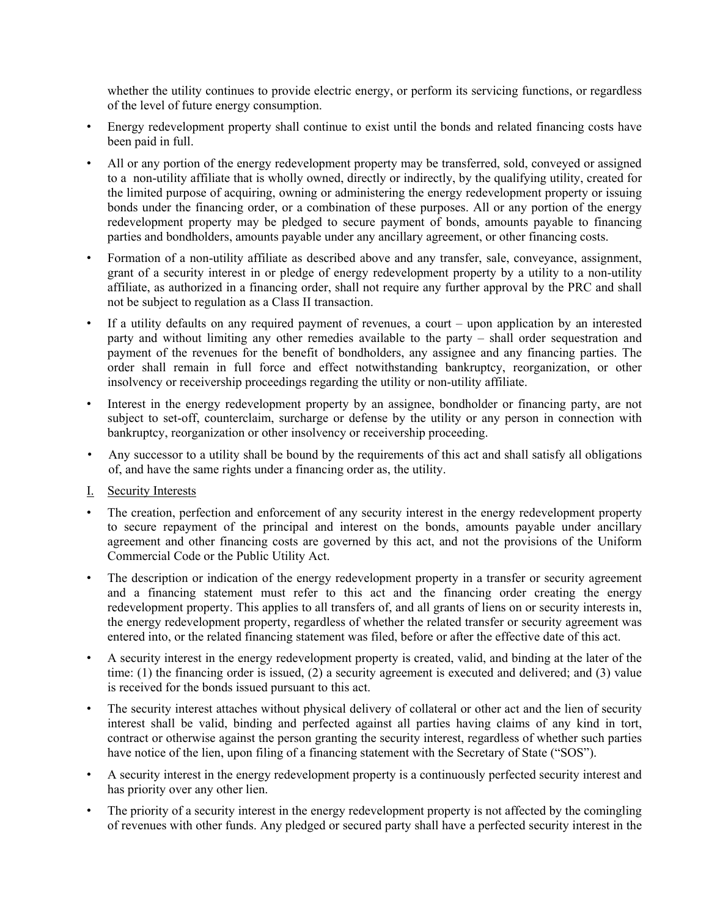whether the utility continues to provide electric energy, or perform its servicing functions, or regardless of the level of future energy consumption.

- Energy redevelopment property shall continue to exist until the bonds and related financing costs have been paid in full.
- All or any portion of the energy redevelopment property may be transferred, sold, conveyed or assigned to a non-utility affiliate that is wholly owned, directly or indirectly, by the qualifying utility, created for the limited purpose of acquiring, owning or administering the energy redevelopment property or issuing bonds under the financing order, or a combination of these purposes. All or any portion of the energy redevelopment property may be pledged to secure payment of bonds, amounts payable to financing parties and bondholders, amounts payable under any ancillary agreement, or other financing costs.
- Formation of a non-utility affiliate as described above and any transfer, sale, conveyance, assignment, grant of a security interest in or pledge of energy redevelopment property by a utility to a non-utility affiliate, as authorized in a financing order, shall not require any further approval by the PRC and shall not be subject to regulation as a Class II transaction.
- If a utility defaults on any required payment of revenues, a court upon application by an interested party and without limiting any other remedies available to the party – shall order sequestration and payment of the revenues for the benefit of bondholders, any assignee and any financing parties. The order shall remain in full force and effect notwithstanding bankruptcy, reorganization, or other insolvency or receivership proceedings regarding the utility or non-utility affiliate.
- Interest in the energy redevelopment property by an assignee, bondholder or financing party, are not subject to set-off, counterclaim, surcharge or defense by the utility or any person in connection with bankruptcy, reorganization or other insolvency or receivership proceeding.
- Any successor to a utility shall be bound by the requirements of this act and shall satisfy all obligations of, and have the same rights under a financing order as, the utility.
- I. Security Interests
- The creation, perfection and enforcement of any security interest in the energy redevelopment property to secure repayment of the principal and interest on the bonds, amounts payable under ancillary agreement and other financing costs are governed by this act, and not the provisions of the Uniform Commercial Code or the Public Utility Act.
- The description or indication of the energy redevelopment property in a transfer or security agreement and a financing statement must refer to this act and the financing order creating the energy redevelopment property. This applies to all transfers of, and all grants of liens on or security interests in, the energy redevelopment property, regardless of whether the related transfer or security agreement was entered into, or the related financing statement was filed, before or after the effective date of this act.
- A security interest in the energy redevelopment property is created, valid, and binding at the later of the time: (1) the financing order is issued, (2) a security agreement is executed and delivered; and (3) value is received for the bonds issued pursuant to this act.
- The security interest attaches without physical delivery of collateral or other act and the lien of security interest shall be valid, binding and perfected against all parties having claims of any kind in tort, contract or otherwise against the person granting the security interest, regardless of whether such parties have notice of the lien, upon filing of a financing statement with the Secretary of State ("SOS").
- A security interest in the energy redevelopment property is a continuously perfected security interest and has priority over any other lien.
- The priority of a security interest in the energy redevelopment property is not affected by the comingling of revenues with other funds. Any pledged or secured party shall have a perfected security interest in the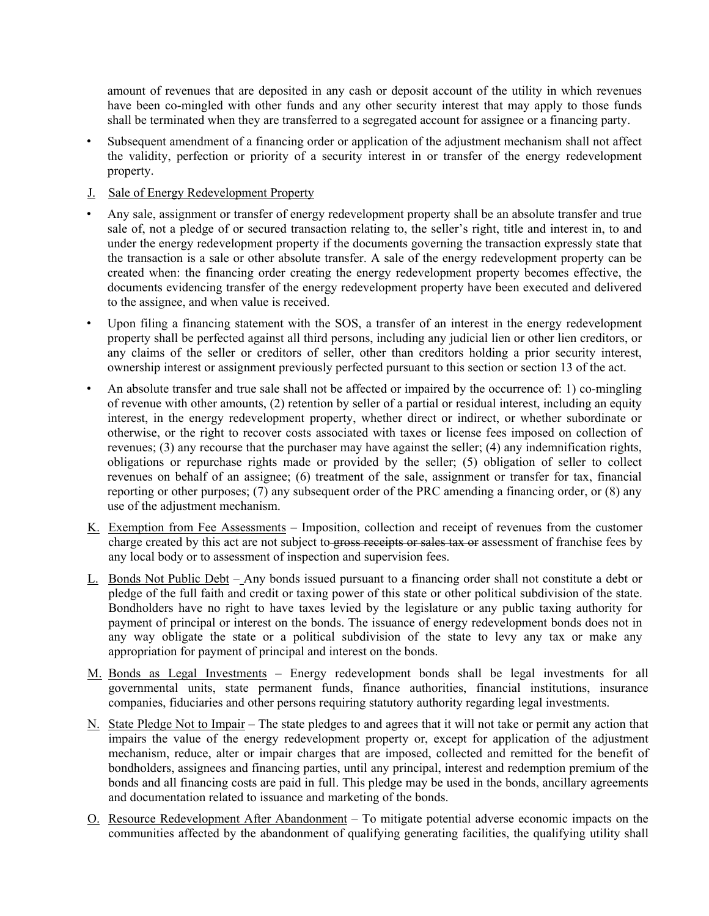amount of revenues that are deposited in any cash or deposit account of the utility in which revenues have been co-mingled with other funds and any other security interest that may apply to those funds shall be terminated when they are transferred to a segregated account for assignee or a financing party.

• Subsequent amendment of a financing order or application of the adjustment mechanism shall not affect the validity, perfection or priority of a security interest in or transfer of the energy redevelopment property.

#### J. Sale of Energy Redevelopment Property

- Any sale, assignment or transfer of energy redevelopment property shall be an absolute transfer and true sale of, not a pledge of or secured transaction relating to, the seller's right, title and interest in, to and under the energy redevelopment property if the documents governing the transaction expressly state that the transaction is a sale or other absolute transfer. A sale of the energy redevelopment property can be created when: the financing order creating the energy redevelopment property becomes effective, the documents evidencing transfer of the energy redevelopment property have been executed and delivered to the assignee, and when value is received.
- Upon filing a financing statement with the SOS, a transfer of an interest in the energy redevelopment property shall be perfected against all third persons, including any judicial lien or other lien creditors, or any claims of the seller or creditors of seller, other than creditors holding a prior security interest, ownership interest or assignment previously perfected pursuant to this section or section 13 of the act.
- An absolute transfer and true sale shall not be affected or impaired by the occurrence of: 1) co-mingling of revenue with other amounts, (2) retention by seller of a partial or residual interest, including an equity interest, in the energy redevelopment property, whether direct or indirect, or whether subordinate or otherwise, or the right to recover costs associated with taxes or license fees imposed on collection of revenues; (3) any recourse that the purchaser may have against the seller; (4) any indemnification rights, obligations or repurchase rights made or provided by the seller; (5) obligation of seller to collect revenues on behalf of an assignee; (6) treatment of the sale, assignment or transfer for tax, financial reporting or other purposes; (7) any subsequent order of the PRC amending a financing order, or (8) any use of the adjustment mechanism.
- K. Exemption from Fee Assessments Imposition, collection and receipt of revenues from the customer charge created by this act are not subject to gross receipts or sales tax or assessment of franchise fees by any local body or to assessment of inspection and supervision fees.
- L. Bonds Not Public Debt Any bonds issued pursuant to a financing order shall not constitute a debt or pledge of the full faith and credit or taxing power of this state or other political subdivision of the state. Bondholders have no right to have taxes levied by the legislature or any public taxing authority for payment of principal or interest on the bonds. The issuance of energy redevelopment bonds does not in any way obligate the state or a political subdivision of the state to levy any tax or make any appropriation for payment of principal and interest on the bonds.
- M. Bonds as Legal Investments Energy redevelopment bonds shall be legal investments for all governmental units, state permanent funds, finance authorities, financial institutions, insurance companies, fiduciaries and other persons requiring statutory authority regarding legal investments.
- N. State Pledge Not to Impair The state pledges to and agrees that it will not take or permit any action that impairs the value of the energy redevelopment property or, except for application of the adjustment mechanism, reduce, alter or impair charges that are imposed, collected and remitted for the benefit of bondholders, assignees and financing parties, until any principal, interest and redemption premium of the bonds and all financing costs are paid in full. This pledge may be used in the bonds, ancillary agreements and documentation related to issuance and marketing of the bonds.
- O. Resource Redevelopment After Abandonment To mitigate potential adverse economic impacts on the communities affected by the abandonment of qualifying generating facilities, the qualifying utility shall